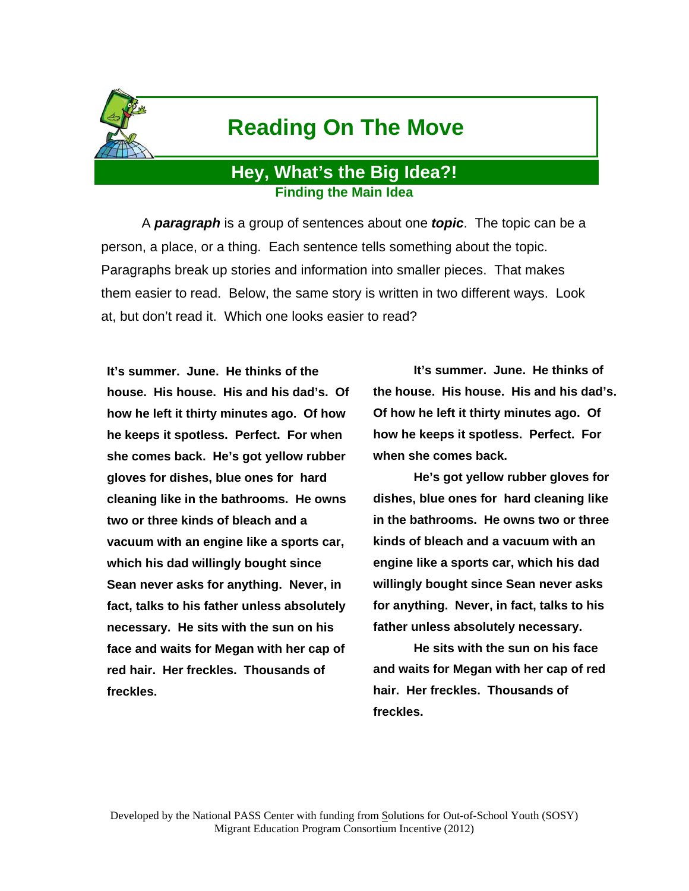

## **Reading On The Move**

## **Hey, What's the Big Idea?! Finding the Main Idea**

 A *paragraph* is a group of sentences about one *topic*. The topic can be a person, a place, or a thing. Each sentence tells something about the topic. Paragraphs break up stories and information into smaller pieces. That makes them easier to read. Below, the same story is written in two different ways. Look at, but don't read it. Which one looks easier to read?

**It's summer. June. He thinks of the house. His house. His and his dad's. Of how he left it thirty minutes ago. Of how he keeps it spotless. Perfect. For when she comes back. He's got yellow rubber gloves for dishes, blue ones for hard cleaning like in the bathrooms. He owns two or three kinds of bleach and a vacuum with an engine like a sports car, which his dad willingly bought since Sean never asks for anything. Never, in fact, talks to his father unless absolutely necessary. He sits with the sun on his face and waits for Megan with her cap of red hair. Her freckles. Thousands of freckles.** 

 **It's summer. June. He thinks of the house. His house. His and his dad's. Of how he left it thirty minutes ago. Of how he keeps it spotless. Perfect. For when she comes back.** 

 **He's got yellow rubber gloves for dishes, blue ones for hard cleaning like in the bathrooms. He owns two or three kinds of bleach and a vacuum with an engine like a sports car, which his dad willingly bought since Sean never asks for anything. Never, in fact, talks to his father unless absolutely necessary.** 

 **He sits with the sun on his face and waits for Megan with her cap of red hair. Her freckles. Thousands of freckles.**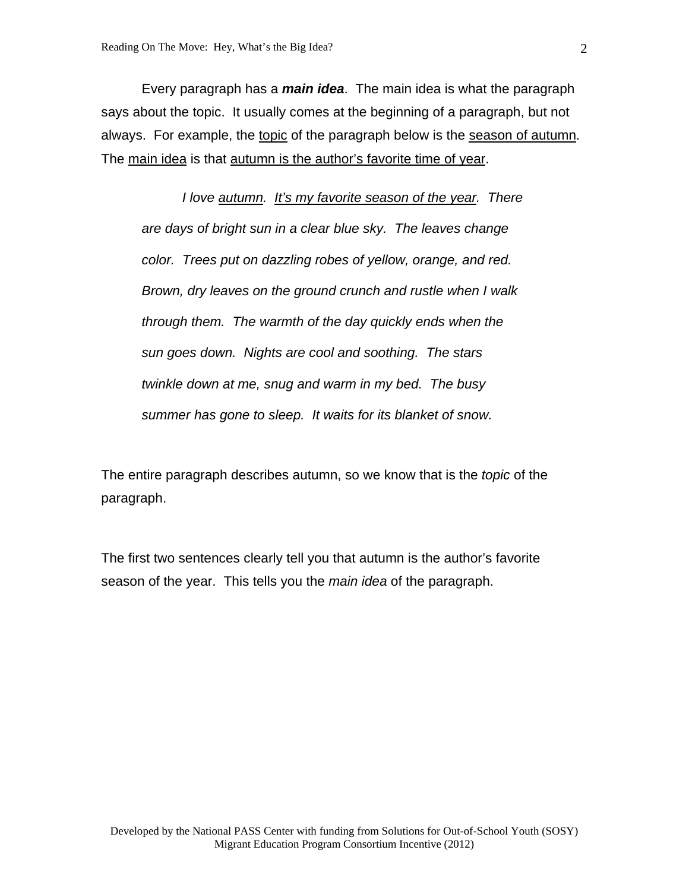Every paragraph has a *main idea*. The main idea is what the paragraph says about the topic. It usually comes at the beginning of a paragraph, but not always. For example, the topic of the paragraph below is the season of autumn. The main idea is that autumn is the author's favorite time of year.

*I love autumn. It's my favorite season of the year. There are days of bright sun in a clear blue sky. The leaves change color. Trees put on dazzling robes of yellow, orange, and red. Brown, dry leaves on the ground crunch and rustle when I walk through them. The warmth of the day quickly ends when the sun goes down. Nights are cool and soothing. The stars twinkle down at me, snug and warm in my bed. The busy summer has gone to sleep. It waits for its blanket of snow.*

The entire paragraph describes autumn, so we know that is the *topic* of the paragraph.

The first two sentences clearly tell you that autumn is the author's favorite season of the year. This tells you the *main idea* of the paragraph.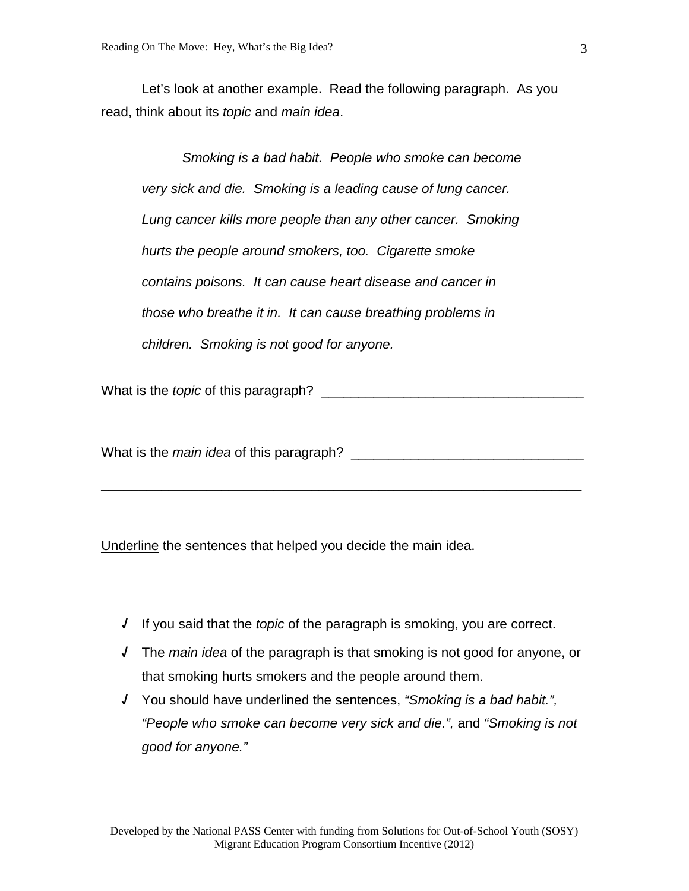Let's look at another example. Read the following paragraph. As you read, think about its *topic* and *main idea*.

*Smoking is a bad habit. People who smoke can become very sick and die. Smoking is a leading cause of lung cancer. Lung cancer kills more people than any other cancer. Smoking hurts the people around smokers, too. Cigarette smoke contains poisons. It can cause heart disease and cancer in those who breathe it in. It can cause breathing problems in children. Smoking is not good for anyone.* 

What is the *topic* of this paragraph?

What is the *main idea* of this paragraph?

Underline the sentences that helped you decide the main idea.

**√** If you said that the *topic* of the paragraph is smoking, you are correct.

\_\_\_\_\_\_\_\_\_\_\_\_\_\_\_\_\_\_\_\_\_\_\_\_\_\_\_\_\_\_\_\_\_\_\_\_\_\_\_\_\_\_\_\_\_\_\_\_\_\_\_\_\_\_\_\_\_\_\_\_\_\_\_\_

- **√** The *main idea* of the paragraph is that smoking is not good for anyone, or that smoking hurts smokers and the people around them.
- **√** You should have underlined the sentences, *"Smoking is a bad habit.", "People who smoke can become very sick and die.",* and *"Smoking is not good for anyone."*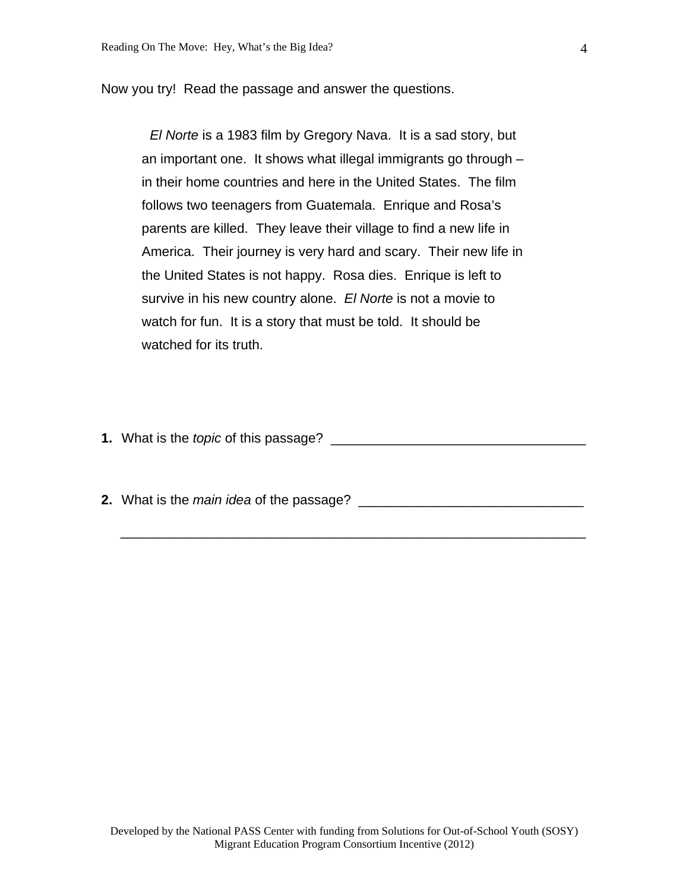Now you try! Read the passage and answer the questions.

*El Norte* is a 1983 film by Gregory Nava. It is a sad story, but an important one. It shows what illegal immigrants go through – in their home countries and here in the United States. The film follows two teenagers from Guatemala. Enrique and Rosa's parents are killed. They leave their village to find a new life in America. Their journey is very hard and scary. Their new life in the United States is not happy. Rosa dies. Enrique is left to survive in his new country alone. *El Norte* is not a movie to watch for fun. It is a story that must be told. It should be watched for its truth.

**1.** What is the *topic* of this passage? \_\_\_\_\_\_\_\_\_\_\_\_\_\_\_\_\_\_\_\_\_\_\_\_\_\_\_\_\_\_\_\_\_\_

**2.** What is the *main idea* of the passage? \_\_\_\_\_\_\_\_\_\_\_\_\_\_\_\_\_\_\_\_\_\_\_\_\_\_\_\_\_\_

\_\_\_\_\_\_\_\_\_\_\_\_\_\_\_\_\_\_\_\_\_\_\_\_\_\_\_\_\_\_\_\_\_\_\_\_\_\_\_\_\_\_\_\_\_\_\_\_\_\_\_\_\_\_\_\_\_\_\_\_\_\_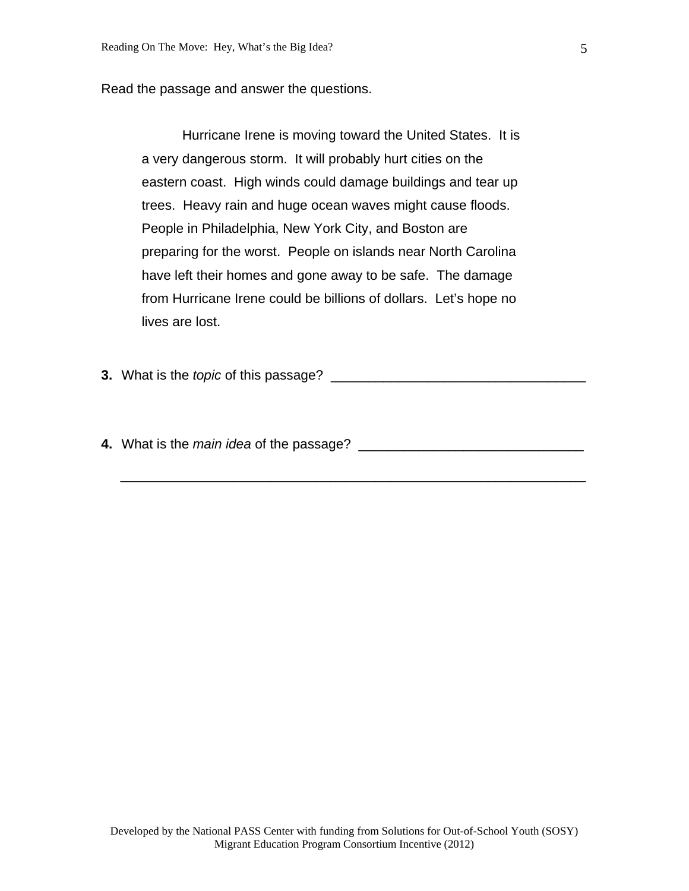Read the passage and answer the questions.

 Hurricane Irene is moving toward the United States. It is a very dangerous storm. It will probably hurt cities on the eastern coast. High winds could damage buildings and tear up trees. Heavy rain and huge ocean waves might cause floods. People in Philadelphia, New York City, and Boston are preparing for the worst. People on islands near North Carolina have left their homes and gone away to be safe. The damage from Hurricane Irene could be billions of dollars. Let's hope no lives are lost.

**3.** What is the *topic* of this passage? \_\_\_\_\_\_\_\_\_\_\_\_\_\_\_\_\_\_\_\_\_\_\_\_\_\_\_\_\_\_\_\_\_\_

**4.** What is the *main idea* of the passage? \_\_\_\_\_\_\_\_\_\_\_\_\_\_\_\_\_\_\_\_\_\_\_\_\_\_\_\_\_\_

\_\_\_\_\_\_\_\_\_\_\_\_\_\_\_\_\_\_\_\_\_\_\_\_\_\_\_\_\_\_\_\_\_\_\_\_\_\_\_\_\_\_\_\_\_\_\_\_\_\_\_\_\_\_\_\_\_\_\_\_\_\_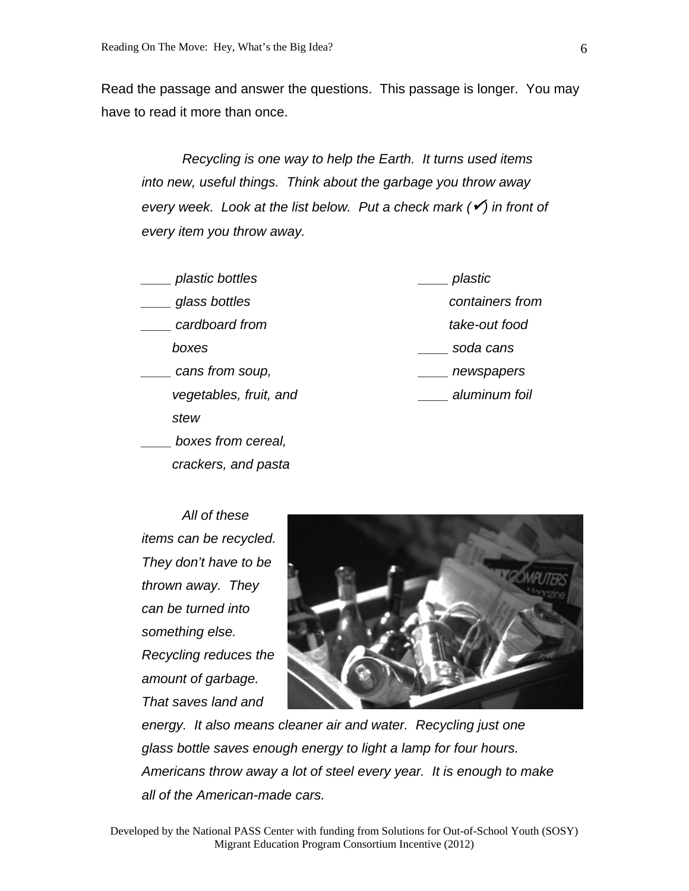Read the passage and answer the questions. This passage is longer. You may have to read it more than once.

*Recycling is one way to help the Earth. It turns used items into new, useful things. Think about the garbage you throw away every week. Look at the list below. Put a check mark (* $\checkmark$ *) in front of every item you throw away.* 

| plastic bottles        | plastic         |
|------------------------|-----------------|
| glass bottles          | containers from |
| cardboard from         | take-out food   |
| boxes                  | soda cans       |
| cans from soup,        | newspapers      |
| vegetables, fruit, and | aluminum foil   |
| stew                   |                 |
| boxes from cereal,     |                 |
| crackers, and pasta    |                 |

 *All of these items can be recycled. They don't have to be thrown away. They can be turned into something else. Recycling reduces the amount of garbage. That saves land and* 



*energy. It also means cleaner air and water. Recycling just one glass bottle saves enough energy to light a lamp for four hours. Americans throw away a lot of steel every year. It is enough to make all of the American-made cars.*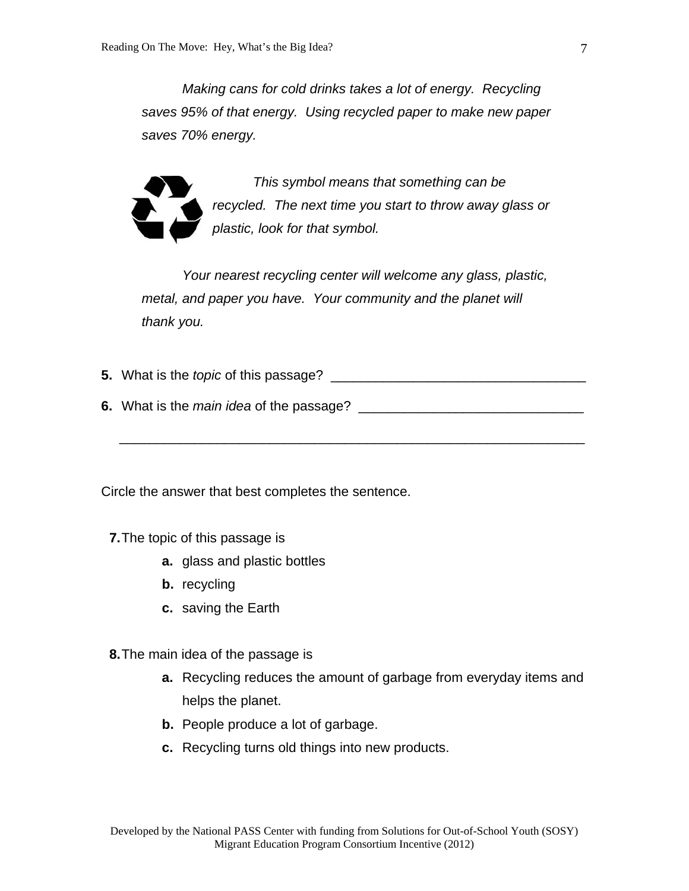*Making cans for cold drinks takes a lot of energy. Recycling saves 95% of that energy. Using recycled paper to make new paper saves 70% energy.* 



 *This symbol means that something can be recycled. The next time you start to throw away glass or plastic, look for that symbol.* 

 *Your nearest recycling center will welcome any glass, plastic, metal, and paper you have. Your community and the planet will thank you.* 

**5.** What is the *topic* of this passage? \_\_\_\_\_\_\_\_\_\_\_\_\_\_\_\_\_\_\_\_\_\_\_\_\_\_\_\_\_\_\_\_\_\_

**6.** What is the *main idea* of the passage? \_\_\_\_\_\_\_\_\_\_\_\_\_\_\_\_\_\_\_\_\_\_\_\_\_\_\_\_\_\_

\_\_\_\_\_\_\_\_\_\_\_\_\_\_\_\_\_\_\_\_\_\_\_\_\_\_\_\_\_\_\_\_\_\_\_\_\_\_\_\_\_\_\_\_\_\_\_\_\_\_\_\_\_\_\_\_\_\_\_\_\_\_

Circle the answer that best completes the sentence.

**7.** The topic of this passage is

- **a.** glass and plastic bottles
- **b.** recycling
- **c.** saving the Earth

**8.** The main idea of the passage is

- **a.** Recycling reduces the amount of garbage from everyday items and helps the planet.
- **b.** People produce a lot of garbage.
- **c.** Recycling turns old things into new products.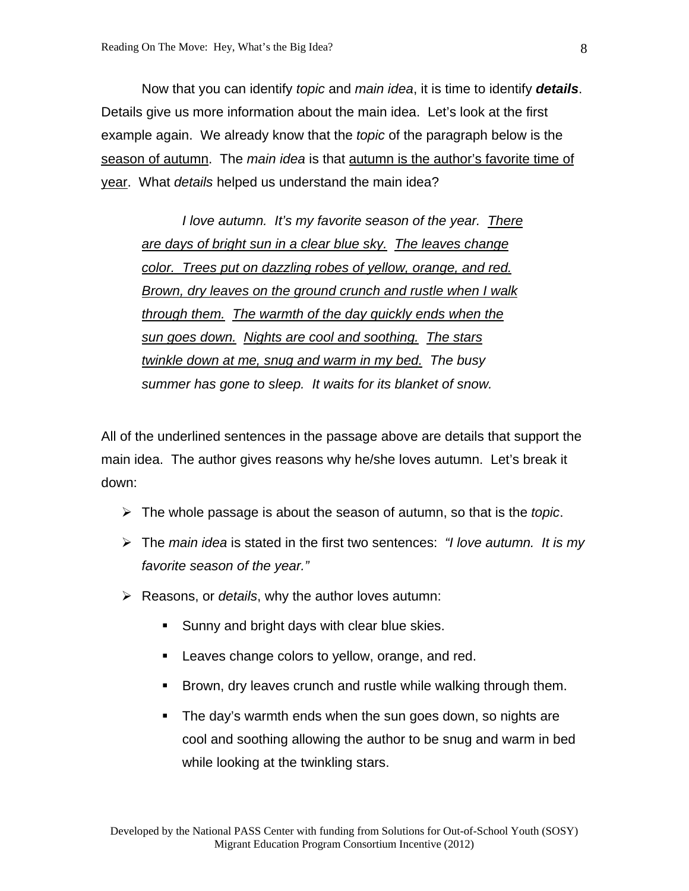Now that you can identify *topic* and *main idea*, it is time to identify *details*. Details give us more information about the main idea. Let's look at the first example again. We already know that the *topic* of the paragraph below is the season of autumn. The *main idea* is that autumn is the author's favorite time of year. What *details* helped us understand the main idea?

*I love autumn. It's my favorite season of the year. There are days of bright sun in a clear blue sky. The leaves change color. Trees put on dazzling robes of yellow, orange, and red. Brown, dry leaves on the ground crunch and rustle when I walk through them. The warmth of the day quickly ends when the sun goes down. Nights are cool and soothing. The stars twinkle down at me, snug and warm in my bed. The busy summer has gone to sleep. It waits for its blanket of snow.*

All of the underlined sentences in the passage above are details that support the main idea. The author gives reasons why he/she loves autumn. Let's break it down:

- The whole passage is about the season of autumn, so that is the *topic*.
- The *main idea* is stated in the first two sentences: *"I love autumn. It is my favorite season of the year."*
- Reasons, or *details*, why the author loves autumn:
	- Sunny and bright days with clear blue skies.
	- **Leaves change colors to yellow, orange, and red.**
	- Brown, dry leaves crunch and rustle while walking through them.
	- The day's warmth ends when the sun goes down, so nights are cool and soothing allowing the author to be snug and warm in bed while looking at the twinkling stars.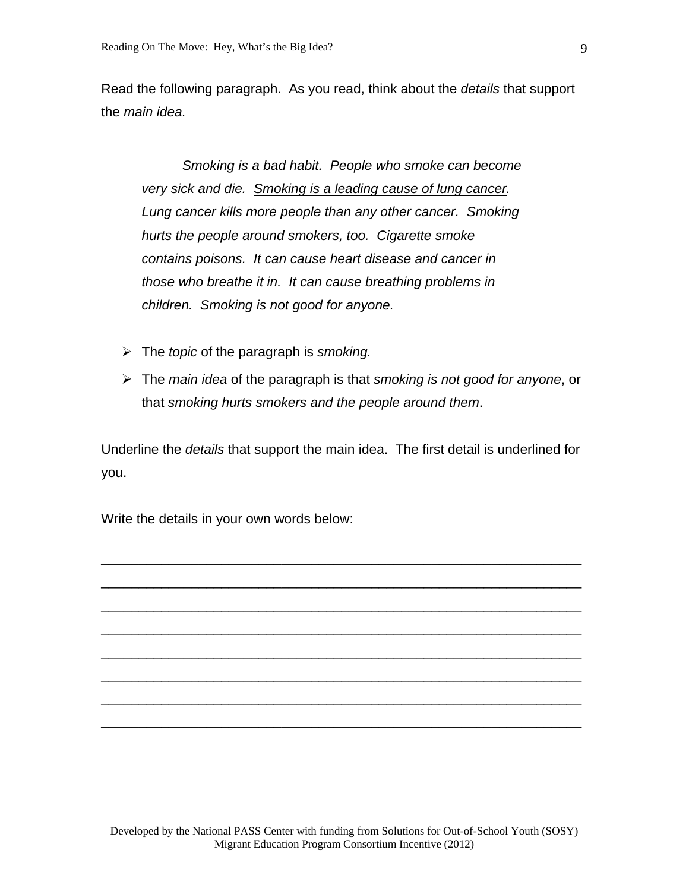Read the following paragraph. As you read, think about the *details* that support the *main idea.*

*Smoking is a bad habit. People who smoke can become very sick and die. Smoking is a leading cause of lung cancer. Lung cancer kills more people than any other cancer. Smoking hurts the people around smokers, too. Cigarette smoke contains poisons. It can cause heart disease and cancer in those who breathe it in. It can cause breathing problems in children. Smoking is not good for anyone.* 

- The *topic* of the paragraph is *smoking.*
- The *main idea* of the paragraph is that *smoking is not good for anyone*, or that *smoking hurts smokers and the people around them*.

Underline the *details* that support the main idea. The first detail is underlined for you.

\_\_\_\_\_\_\_\_\_\_\_\_\_\_\_\_\_\_\_\_\_\_\_\_\_\_\_\_\_\_\_\_\_\_\_\_\_\_\_\_\_\_\_\_\_\_\_\_\_\_\_\_\_\_\_\_\_\_\_\_\_\_\_\_

\_\_\_\_\_\_\_\_\_\_\_\_\_\_\_\_\_\_\_\_\_\_\_\_\_\_\_\_\_\_\_\_\_\_\_\_\_\_\_\_\_\_\_\_\_\_\_\_\_\_\_\_\_\_\_\_\_\_\_\_\_\_\_\_

\_\_\_\_\_\_\_\_\_\_\_\_\_\_\_\_\_\_\_\_\_\_\_\_\_\_\_\_\_\_\_\_\_\_\_\_\_\_\_\_\_\_\_\_\_\_\_\_\_\_\_\_\_\_\_\_\_\_\_\_\_\_\_\_

\_\_\_\_\_\_\_\_\_\_\_\_\_\_\_\_\_\_\_\_\_\_\_\_\_\_\_\_\_\_\_\_\_\_\_\_\_\_\_\_\_\_\_\_\_\_\_\_\_\_\_\_\_\_\_\_\_\_\_\_\_\_\_\_

\_\_\_\_\_\_\_\_\_\_\_\_\_\_\_\_\_\_\_\_\_\_\_\_\_\_\_\_\_\_\_\_\_\_\_\_\_\_\_\_\_\_\_\_\_\_\_\_\_\_\_\_\_\_\_\_\_\_\_\_\_\_\_\_

\_\_\_\_\_\_\_\_\_\_\_\_\_\_\_\_\_\_\_\_\_\_\_\_\_\_\_\_\_\_\_\_\_\_\_\_\_\_\_\_\_\_\_\_\_\_\_\_\_\_\_\_\_\_\_\_\_\_\_\_\_\_\_\_

\_\_\_\_\_\_\_\_\_\_\_\_\_\_\_\_\_\_\_\_\_\_\_\_\_\_\_\_\_\_\_\_\_\_\_\_\_\_\_\_\_\_\_\_\_\_\_\_\_\_\_\_\_\_\_\_\_\_\_\_\_\_\_\_

\_\_\_\_\_\_\_\_\_\_\_\_\_\_\_\_\_\_\_\_\_\_\_\_\_\_\_\_\_\_\_\_\_\_\_\_\_\_\_\_\_\_\_\_\_\_\_\_\_\_\_\_\_\_\_\_\_\_\_\_\_\_\_\_

Write the details in your own words below: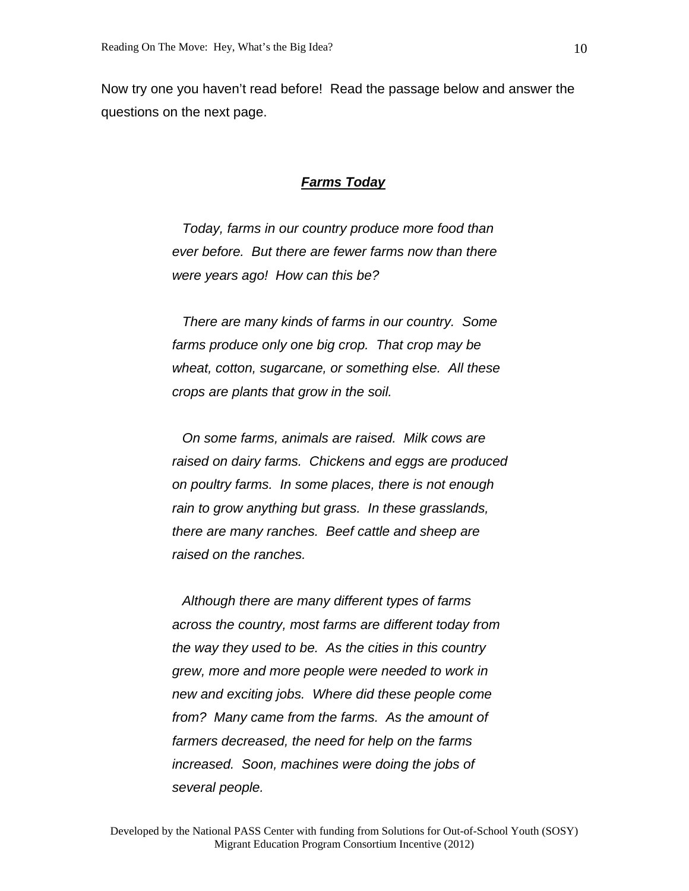Now try one you haven't read before! Read the passage below and answer the questions on the next page.

## *Farms Today*

 *Today, farms in our country produce more food than ever before. But there are fewer farms now than there were years ago! How can this be?* 

 *There are many kinds of farms in our country. Some farms produce only one big crop. That crop may be wheat, cotton, sugarcane, or something else. All these crops are plants that grow in the soil.* 

 *On some farms, animals are raised. Milk cows are raised on dairy farms. Chickens and eggs are produced on poultry farms. In some places, there is not enough rain to grow anything but grass. In these grasslands, there are many ranches. Beef cattle and sheep are raised on the ranches.* 

 *Although there are many different types of farms across the country, most farms are different today from the way they used to be. As the cities in this country grew, more and more people were needed to work in new and exciting jobs. Where did these people come from? Many came from the farms. As the amount of farmers decreased, the need for help on the farms increased. Soon, machines were doing the jobs of several people.*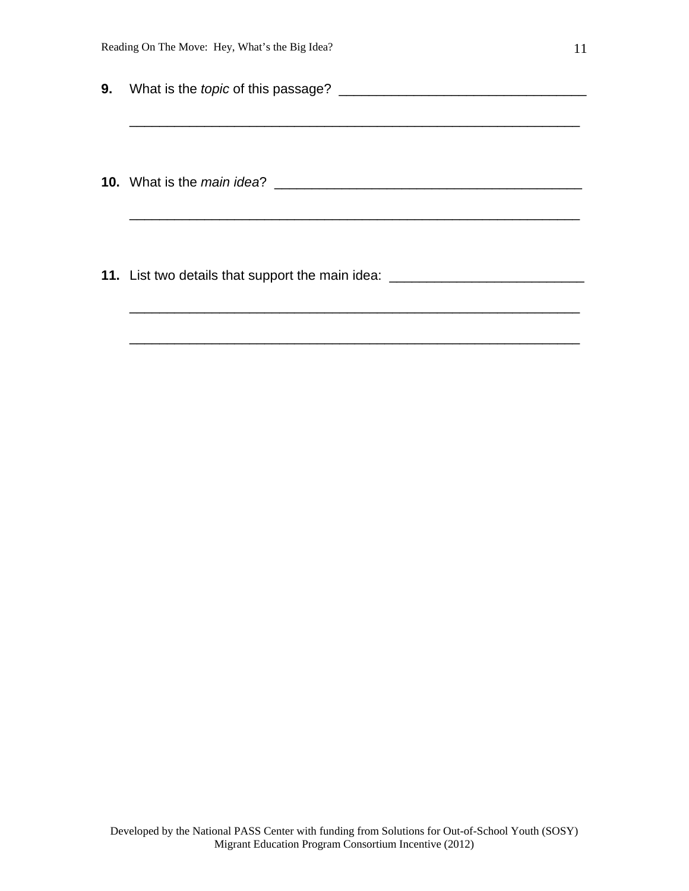|    | Reading On The Move: Hey, What's the Big Idea?<br>11                             |  |
|----|----------------------------------------------------------------------------------|--|
| 9. |                                                                                  |  |
|    | <b>10.</b> What is the main idea?                                                |  |
|    | 11. List two details that support the main idea: _______________________________ |  |

\_\_\_\_\_\_\_\_\_\_\_\_\_\_\_\_\_\_\_\_\_\_\_\_\_\_\_\_\_\_\_\_\_\_\_\_\_\_\_\_\_\_\_\_\_\_\_\_\_\_\_\_\_\_\_\_\_\_\_\_